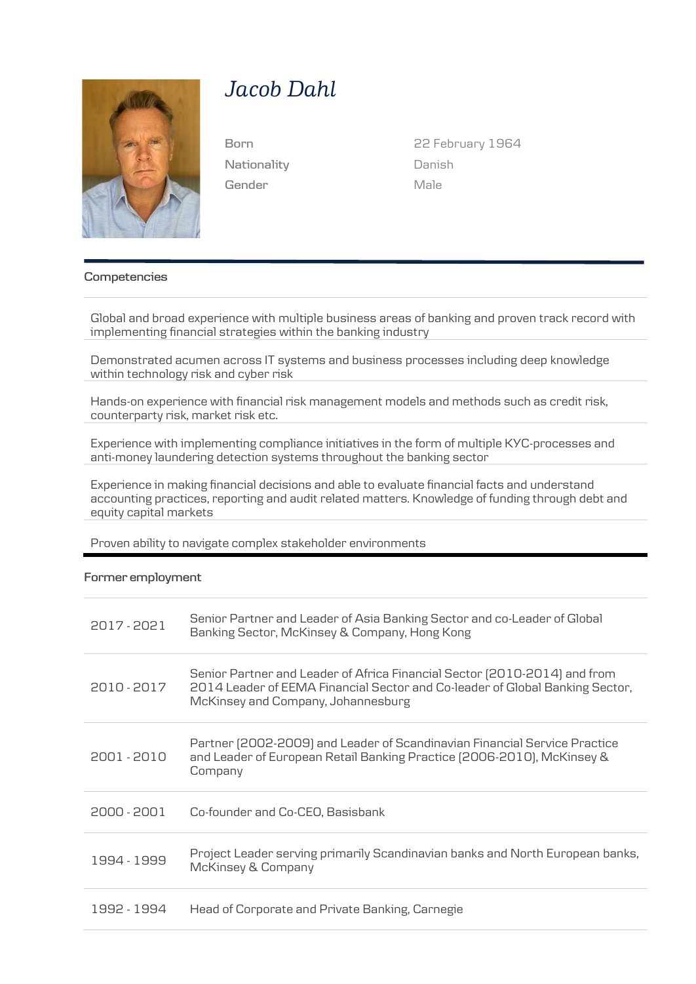

# *Jacob Dahl*

**Nationality Gender**

**Born** 22 February 1964 Danish Male

#### **Competencies**

Global and broad experience with multiple business areas of banking and proven track record with implementing financial strategies within the banking industry

Demonstrated acumen across IT systems and business processes including deep knowledge within technology risk and cyber risk

Hands-on experience with financial risk management models and methods such as credit risk, counterparty risk, market risk etc.

Experience with implementing compliance initiatives in the form of multiple KYC-processes and anti-money laundering detection systems throughout the banking sector

Experience in making financial decisions and able to evaluate financial facts and understand accounting practices, reporting and audit related matters. Knowledge of funding through debt and equity capital markets

Proven ability to navigate complex stakeholder environments

#### **Former employment**

| 2017-2021   | Senior Partner and Leader of Asia Banking Sector and co-Leader of Global<br>Banking Sector, McKinsey & Company, Hong Kong                                                                       |
|-------------|-------------------------------------------------------------------------------------------------------------------------------------------------------------------------------------------------|
| 2010 - 2017 | Senior Partner and Leader of Africa Financial Sector (2010-2014) and from<br>2014 Leader of EEMA Financial Sector and Co-leader of Global Banking Sector,<br>McKinsey and Company, Johannesburg |
| 2001 - 2010 | Partner (2002-2009) and Leader of Scandinavian Financial Service Practice<br>and Leader of European Retail Banking Practice (2006-2010), McKinsey &<br>Company                                  |
| 2000 - 2001 | Co-founder and Co-CEO, Basisbank                                                                                                                                                                |
| 1994 - 1999 | Project Leader serving primarily Scandinavian banks and North European banks,<br>McKinsey & Company                                                                                             |
| 1992 - 1994 | Head of Corporate and Private Banking, Carnegie                                                                                                                                                 |